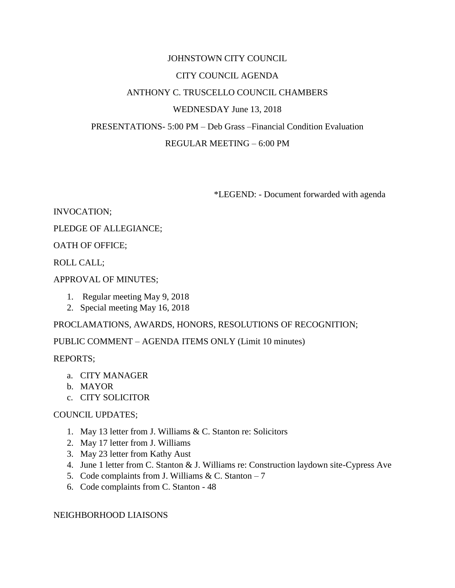# JOHNSTOWN CITY COUNCIL CITY COUNCIL AGENDA ANTHONY C. TRUSCELLO COUNCIL CHAMBERS WEDNESDAY June 13, 2018 PRESENTATIONS- 5:00 PM – Deb Grass –Financial Condition Evaluation

#### REGULAR MEETING – 6:00 PM

\*LEGEND: - Document forwarded with agenda

INVOCATION;

PLEDGE OF ALLEGIANCE;

OATH OF OFFICE;

ROLL CALL;

APPROVAL OF MINUTES;

- 1. Regular meeting May 9, 2018
- 2. Special meeting May 16, 2018

PROCLAMATIONS, AWARDS, HONORS, RESOLUTIONS OF RECOGNITION;

PUBLIC COMMENT – AGENDA ITEMS ONLY (Limit 10 minutes)

REPORTS;

- a. CITY MANAGER
- b. MAYOR
- c. CITY SOLICITOR

#### COUNCIL UPDATES;

- 1. May 13 letter from J. Williams & C. Stanton re: Solicitors
- 2. May 17 letter from J. Williams
- 3. May 23 letter from Kathy Aust
- 4. June 1 letter from C. Stanton & J. Williams re: Construction laydown site-Cypress Ave
- 5. Code complaints from J. Williams & C. Stanton  $-7$
- 6. Code complaints from C. Stanton 48

NEIGHBORHOOD LIAISONS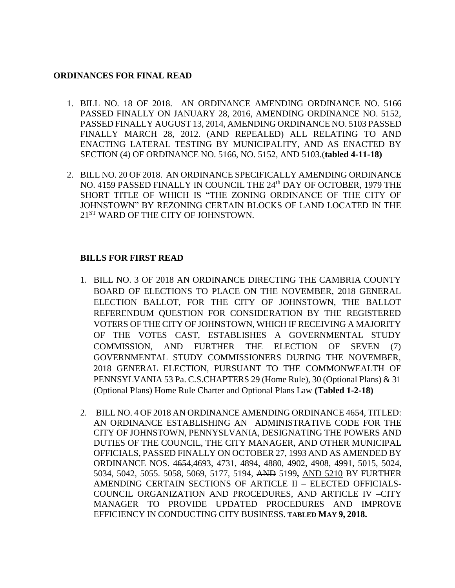#### **ORDINANCES FOR FINAL READ**

- 1. BILL NO. 18 OF 2018. AN ORDINANCE AMENDING ORDINANCE NO. 5166 PASSED FINALLY ON JANUARY 28, 2016, AMENDING ORDINANCE NO. 5152, PASSED FINALLY AUGUST 13, 2014, AMENDING ORDINANCE NO. 5103 PASSED FINALLY MARCH 28, 2012. (AND REPEALED) ALL RELATING TO AND ENACTING LATERAL TESTING BY MUNICIPALITY, AND AS ENACTED BY SECTION (4) OF ORDINANCE NO. 5166, NO. 5152, AND 5103.(**tabled 4-11-18)**
- 2. BILL NO. 20 OF 2018. AN ORDINANCE SPECIFICALLY AMENDING ORDINANCE NO. 4159 PASSED FINALLY IN COUNCIL THE 24th DAY OF OCTOBER, 1979 THE SHORT TITLE OF WHICH IS "THE ZONING ORDINANCE OF THE CITY OF JOHNSTOWN" BY REZONING CERTAIN BLOCKS OF LAND LOCATED IN THE 21<sup>ST</sup> WARD OF THE CITY OF JOHNSTOWN.

### **BILLS FOR FIRST READ**

- 1. BILL NO. 3 OF 2018 AN ORDINANCE DIRECTING THE CAMBRIA COUNTY BOARD OF ELECTIONS TO PLACE ON THE NOVEMBER, 2018 GENERAL ELECTION BALLOT, FOR THE CITY OF JOHNSTOWN, THE BALLOT REFERENDUM QUESTION FOR CONSIDERATION BY THE REGISTERED VOTERS OF THE CITY OF JOHNSTOWN, WHICH IF RECEIVING A MAJORITY OF THE VOTES CAST, ESTABLISHES A GOVERNMENTAL STUDY COMMISSION, AND FURTHER THE ELECTION OF SEVEN (7) GOVERNMENTAL STUDY COMMISSIONERS DURING THE NOVEMBER, 2018 GENERAL ELECTION, PURSUANT TO THE COMMONWEALTH OF PENNSYLVANIA 53 Pa. C.S.CHAPTERS 29 (Home Rule), 30 (Optional Plans) & 31 (Optional Plans) Home Rule Charter and Optional Plans Law **(Tabled 1-2-18)**
- 2. BILL NO. 4 OF 2018 AN ORDINANCE AMENDING ORDINANCE 4654, TITLED: AN ORDINANCE ESTABLISHING AN ADMINISTRATIVE CODE FOR THE CITY OF JOHNSTOWN, PENNYSLVANIA, DESIGNATING THE POWERS AND DUTIES OF THE COUNCIL, THE CITY MANAGER, AND OTHER MUNICIPAL OFFICIALS, PASSED FINALLY ON OCTOBER 27, 1993 AND AS AMENDED BY ORDINANCE NOS. 4654,4693, 4731, 4894, 4880, 4902, 4908, 4991, 5015, 5024, 5034, 5042, 5055. 5058, 5069, 5177, 5194, AND 5199**,** AND 5210 BY FURTHER AMENDING CERTAIN SECTIONS OF ARTICLE II – ELECTED OFFICIALS-COUNCIL ORGANIZATION AND PROCEDURES, AND ARTICLE IV –CITY MANAGER TO PROVIDE UPDATED PROCEDURES AND IMPROVE EFFICIENCY IN CONDUCTING CITY BUSINESS. **TABLED MAY 9, 2018.**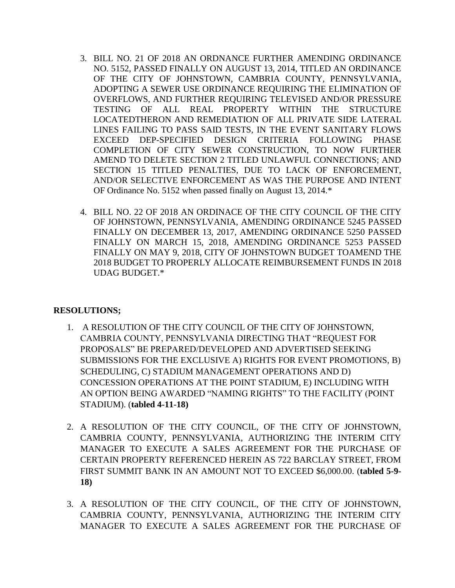- 3. BILL NO. 21 OF 2018 AN ORDNANCE FURTHER AMENDING ORDINANCE NO. 5152, PASSED FINALLY ON AUGUST 13, 2014, TITLED AN ORDINANCE OF THE CITY OF JOHNSTOWN, CAMBRIA COUNTY, PENNSYLVANIA, ADOPTING A SEWER USE ORDINANCE REQUIRING THE ELIMINATION OF OVERFLOWS, AND FURTHER REQUIRING TELEVISED AND/OR PRESSURE TESTING OF ALL REAL PROPERTY WITHIN THE STRUCTURE LOCATEDTHERON AND REMEDIATION OF ALL PRIVATE SIDE LATERAL LINES FAILING TO PASS SAID TESTS, IN THE EVENT SANITARY FLOWS EXCEED DEP-SPECIFIED DESIGN CRITERIA FOLLOWING PHASE COMPLETION OF CITY SEWER CONSTRUCTION, TO NOW FURTHER AMEND TO DELETE SECTION 2 TITLED UNLAWFUL CONNECTIONS; AND SECTION 15 TITLED PENALTIES, DUE TO LACK OF ENFORCEMENT, AND/OR SELECTIVE ENFORCEMENT AS WAS THE PURPOSE AND INTENT OF Ordinance No. 5152 when passed finally on August 13, 2014.\*
- 4. BILL NO. 22 OF 2018 AN ORDINACE OF THE CITY COUNCIL OF THE CITY OF JOHNSTOWN, PENNSYLVANIA, AMENDING ORDINANCE 5245 PASSED FINALLY ON DECEMBER 13, 2017, AMENDING ORDINANCE 5250 PASSED FINALLY ON MARCH 15, 2018, AMENDING ORDINANCE 5253 PASSED FINALLY ON MAY 9, 2018, CITY OF JOHNSTOWN BUDGET TOAMEND THE 2018 BUDGET TO PROPERLY ALLOCATE REIMBURSEMENT FUNDS IN 2018 UDAG BUDGET.\*

## **RESOLUTIONS;**

- 1. A RESOLUTION OF THE CITY COUNCIL OF THE CITY OF JOHNSTOWN, CAMBRIA COUNTY, PENNSYLVANIA DIRECTING THAT "REQUEST FOR PROPOSALS" BE PREPARED/DEVELOPED AND ADVERTISED SEEKING SUBMISSIONS FOR THE EXCLUSIVE A) RIGHTS FOR EVENT PROMOTIONS, B) SCHEDULING, C) STADIUM MANAGEMENT OPERATIONS AND D) CONCESSION OPERATIONS AT THE POINT STADIUM, E) INCLUDING WITH AN OPTION BEING AWARDED "NAMING RIGHTS" TO THE FACILITY (POINT STADIUM). (**tabled 4-11-18)**
- 2. A RESOLUTION OF THE CITY COUNCIL, OF THE CITY OF JOHNSTOWN, CAMBRIA COUNTY, PENNSYLVANIA, AUTHORIZING THE INTERIM CITY MANAGER TO EXECUTE A SALES AGREEMENT FOR THE PURCHASE OF CERTAIN PROPERTY REFERENCED HEREIN AS 722 BARCLAY STREET, FROM FIRST SUMMIT BANK IN AN AMOUNT NOT TO EXCEED \$6,000.00. (**tabled 5-9- 18)**
- 3. A RESOLUTION OF THE CITY COUNCIL, OF THE CITY OF JOHNSTOWN, CAMBRIA COUNTY, PENNSYLVANIA, AUTHORIZING THE INTERIM CITY MANAGER TO EXECUTE A SALES AGREEMENT FOR THE PURCHASE OF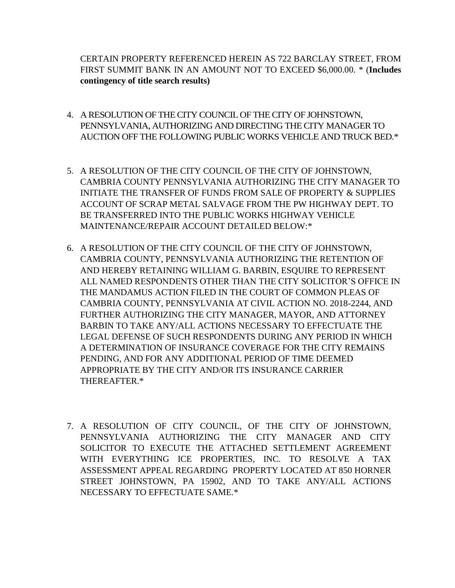CERTAIN PROPERTY REFERENCED HEREIN AS 722 BARCLAY STREET, FROM FIRST SUMMIT BANK IN AN AMOUNT NOT TO EXCEED \$6,000.00. \* (**Includes contingency of title search results)**

- 4. A RESOLUTION OF THE CITY COUNCIL OF THE CITY OF JOHNSTOWN, PENNSYLVANIA, AUTHORIZING AND DIRECTING THE CITY MANAGER TO AUCTION OFF THE FOLLOWING PUBLIC WORKS VEHICLE AND TRUCK BED.\*
- 5. A RESOLUTION OF THE CITY COUNCIL OF THE CITY OF JOHNSTOWN, CAMBRIA COUNTY PENNSYLVANIA AUTHORIZING THE CITY MANAGER TO INITIATE THE TRANSFER OF FUNDS FROM SALE OF PROPERTY & SUPPLIES ACCOUNT OF SCRAP METAL SALVAGE FROM THE PW HIGHWAY DEPT. TO BE TRANSFERRED INTO THE PUBLIC WORKS HIGHWAY VEHICLE MAINTENANCE/REPAIR ACCOUNT DETAILED BELOW:\*
- 6. A RESOLUTION OF THE CITY COUNCIL OF THE CITY OF JOHNSTOWN, CAMBRIA COUNTY, PENNSYLVANIA AUTHORIZING THE RETENTION OF AND HEREBY RETAINING WILLIAM G. BARBIN, ESQUIRE TO REPRESENT ALL NAMED RESPONDENTS OTHER THAN THE CITY SOLICITOR'S OFFICE IN THE MANDAMUS ACTION FILED IN THE COURT OF COMMON PLEAS OF CAMBRIA COUNTY, PENNSYLVANIA AT CIVIL ACTION NO. 2018-2244, AND FURTHER AUTHORIZING THE CITY MANAGER, MAYOR, AND ATTORNEY BARBIN TO TAKE ANY/ALL ACTIONS NECESSARY TO EFFECTUATE THE LEGAL DEFENSE OF SUCH RESPONDENTS DURING ANY PERIOD IN WHICH A DETERMINATION OF INSURANCE COVERAGE FOR THE CITY REMAINS PENDING, AND FOR ANY ADDITIONAL PERIOD OF TIME DEEMED APPROPRIATE BY THE CITY AND/OR ITS INSURANCE CARRIER THEREAFTER.\*
- 7. A RESOLUTION OF CITY COUNCIL, OF THE CITY OF JOHNSTOWN, PENNSYLVANIA AUTHORIZING THE CITY MANAGER AND CITY SOLICITOR TO EXECUTE THE ATTACHED SETTLEMENT AGREEMENT WITH EVERYTHING ICE PROPERTIES, INC. TO RESOLVE A TAX ASSESSMENT APPEAL REGARDING PROPERTY LOCATED AT 850 HORNER STREET JOHNSTOWN, PA 15902, AND TO TAKE ANY/ALL ACTIONS NECESSARY TO EFFECTUATE SAME.\*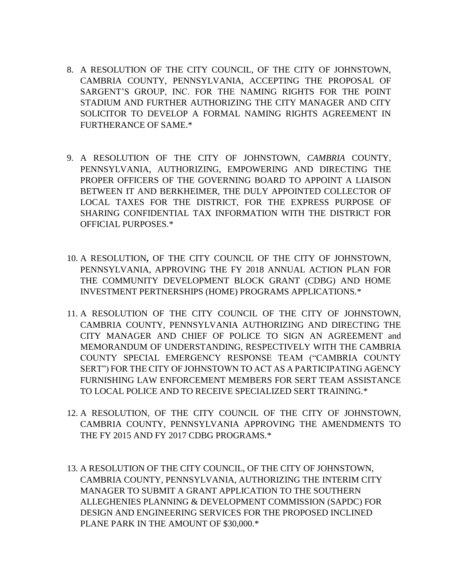- 8. A RESOLUTION OF THE CITY COUNCIL, OF THE CITY OF JOHNSTOWN, CAMBRIA COUNTY, PENNSYLVANIA, ACCEPTING THE PROPOSAL OF SARGENT'S GROUP, INC. FOR THE NAMING RIGHTS FOR THE POINT STADIUM AND FURTHER AUTHORIZING THE CITY MANAGER AND CITY SOLICITOR TO DEVELOP A FORMAL NAMING RIGHTS AGREEMENT IN FURTHERANCE OF SAME.\*
- 9. A RESOLUTION OF THE CITY OF JOHNSTOWN*, CAMBRIA* COUNTY, PENNSYLVANIA, AUTHORIZING, EMPOWERING AND DIRECTING THE PROPER OFFICERS OF THE GOVERNING BOARD TO APPOINT A LIAISON BETWEEN IT AND BERKHEIMER, THE DULY APPOINTED COLLECTOR OF LOCAL TAXES FOR THE DISTRICT, FOR THE EXPRESS PURPOSE OF SHARING CONFIDENTIAL TAX INFORMATION WITH THE DISTRICT FOR OFFICIAL PURPOSES.\*
- 10. A RESOLUTION**,** OF THE CITY COUNCIL OF THE CITY OF JOHNSTOWN, PENNSYLVANIA, APPROVING THE FY 2018 ANNUAL ACTION PLAN FOR THE COMMUNITY DEVELOPMENT BLOCK GRANT (CDBG) AND HOME INVESTMENT PERTNERSHIPS (HOME) PROGRAMS APPLICATIONS.\*
- 11. A RESOLUTION OF THE CITY COUNCIL OF THE CITY OF JOHNSTOWN, CAMBRIA COUNTY, PENNSYLVANIA AUTHORIZING AND DIRECTING THE CITY MANAGER AND CHIEF OF POLICE TO SIGN AN AGREEMENT and MEMORANDUM OF UNDERSTANDING, RESPECTIVELY WITH THE CAMBRIA COUNTY SPECIAL EMERGENCY RESPONSE TEAM ("CAMBRIA COUNTY SERT") FOR THE CITY OF JOHNSTOWN TO ACT AS A PARTICIPATING AGENCY FURNISHING LAW ENFORCEMENT MEMBERS FOR SERT TEAM ASSISTANCE TO LOCAL POLICE AND TO RECEIVE SPECIALIZED SERT TRAINING.\*
- 12. A RESOLUTION, OF THE CITY COUNCIL OF THE CITY OF JOHNSTOWN, CAMBRIA COUNTY, PENNSYLVANIA APPROVING THE AMENDMENTS TO THE FY 2015 AND FY 2017 CDBG PROGRAMS.\*
- 13. A RESOLUTION OF THE CITY COUNCIL, OF THE CITY OF JOHNSTOWN, CAMBRIA COUNTY, PENNSYLVANIA, AUTHORIZING THE INTERIM CITY MANAGER TO SUBMIT A GRANT APPLICATION TO THE SOUTHERN ALLEGHENIES PLANNING & DEVELOPMENT COMMISSION (SAPDC) FOR DESIGN AND ENGINEERING SERVICES FOR THE PROPOSED INCLINED PLANE PARK IN THE AMOUNT OF \$30,000.\*